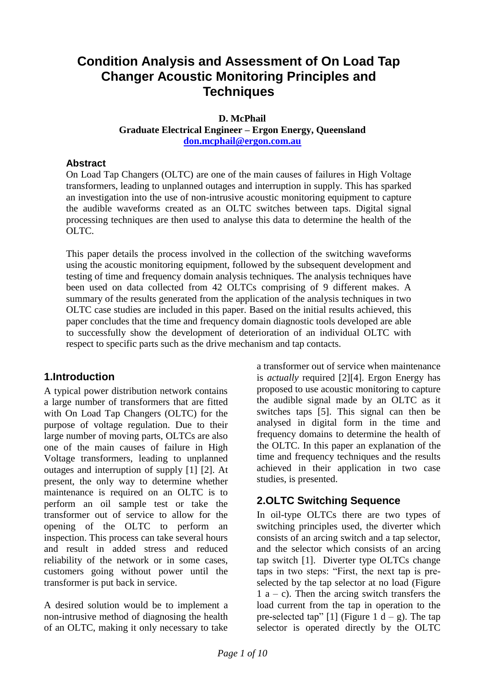# **Condition Analysis and Assessment of On Load Tap Changer Acoustic Monitoring Principles and Techniques**

### **D. McPhail Graduate Electrical Engineer – Ergon Energy, Queensland**

**[don.mcphail@ergon.com.au](mailto:don.mcphail@ergon.com.au)**

### **Abstract**

On Load Tap Changers (OLTC) are one of the main causes of failures in High Voltage transformers, leading to unplanned outages and interruption in supply. This has sparked an investigation into the use of non-intrusive acoustic monitoring equipment to capture the audible waveforms created as an OLTC switches between taps. Digital signal processing techniques are then used to analyse this data to determine the health of the OLTC.

This paper details the process involved in the collection of the switching waveforms using the acoustic monitoring equipment, followed by the subsequent development and testing of time and frequency domain analysis techniques. The analysis techniques have been used on data collected from 42 OLTCs comprising of 9 different makes. A summary of the results generated from the application of the analysis techniques in two OLTC case studies are included in this paper. Based on the initial results achieved, this paper concludes that the time and frequency domain diagnostic tools developed are able to successfully show the development of deterioration of an individual OLTC with respect to specific parts such as the drive mechanism and tap contacts.

### **1.Introduction**

A typical power distribution network contains a large number of transformers that are fitted with On Load Tap Changers (OLTC) for the purpose of voltage regulation. Due to their large number of moving parts, OLTCs are also one of the main causes of failure in High Voltage transformers, leading to unplanned outages and interruption of supply [\[1\]](#page-9-0) [\[2\].](#page-9-1) At present, the only way to determine whether maintenance is required on an OLTC is to perform an oil sample test or take the transformer out of service to allow for the opening of the OLTC to perform an inspection. This process can take several hours and result in added stress and reduced reliability of the network or in some cases, customers going without power until the transformer is put back in service.

A desired solution would be to implement a non-intrusive method of diagnosing the health of an OLTC, making it only necessary to take

a transformer out of service when maintenance is *actually* required [\[2\]\[4\].](#page-9-2) Ergon Energy has proposed to use acoustic monitoring to capture the audible signal made by an OLTC as it switches taps [\[5\].](#page-9-3) This signal can then be analysed in digital form in the time and frequency domains to determine the health of the OLTC. In this paper an explanation of the time and frequency techniques and the results achieved in their application in two case studies, is presented.

# **2.OLTC Switching Sequence**

In oil-type OLTCs there are two types of switching principles used, the diverter which consists of an arcing switch and a tap selector, and the selector which consists of an arcing tap switch [\[1\].](#page-9-0) Diverter type OLTCs change taps in two steps: "First, the next tap is preselected by the tap selector at no load [\(Figure](#page-1-0)   $1 a - c$  $1 a - c$ ). Then the arcing switch transfers the load current from the tap in operation to the pre-selected tap" [\[1\]](#page-9-0) [\(Figure 1](#page-1-0) d – g). The tap selector is operated directly by the OLTC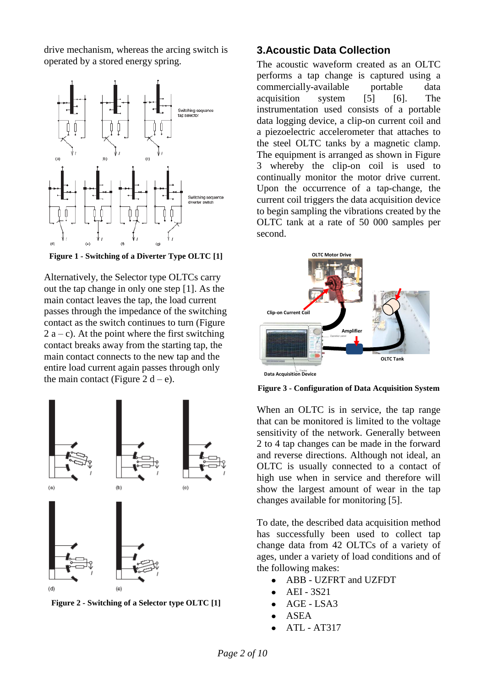drive mechanism, whereas the arcing switch is operated by a stored energy spring.



<span id="page-1-0"></span>**Figure 1 - Switching of a Diverter Type OLTC [\[1\]](#page-9-0)**

Alternatively, the Selector type OLTCs carry out the tap change in only one step [\[1\].](#page-9-0) As the main contact leaves the tap, the load current passes through the impedance of the switching contact as the switch continues to turn [\(Figure](#page-1-1)   $2 a - c$  $2 a - c$ ). At the point where the first switching contact breaks away from the starting tap, the main contact connects to the new tap and the entire load current again passes through only the main contact [\(Figure 2](#page-1-1) d – e).



<span id="page-1-1"></span>**Figure 2 - Switching of a Selector type OLT[C \[1\]](#page-9-0)**

### **3.Acoustic Data Collection**

The acoustic waveform created as an OLTC performs a tap change is captured using a commercially-available portable data acquisition system [\[5\]](#page-9-3) [\[6\].](#page-9-4) The instrumentation used consists of a portable data logging device, a clip-on current coil and a piezoelectric accelerometer that attaches to the steel OLTC tanks by a magnetic clamp. The equipment is arranged as shown in [Figure](#page-1-2)  [3](#page-1-2) whereby the clip-on coil is used to continually monitor the motor drive current. Upon the occurrence of a tap-change, the current coil triggers the data acquisition device to begin sampling the vibrations created by the OLTC tank at a rate of 50 000 samples per second.



<span id="page-1-2"></span>**Figure 3 - Configuration of Data Acquisition System**

When an OLTC is in service, the tap range that can be monitored is limited to the voltage sensitivity of the network. Generally between 2 to 4 tap changes can be made in the forward and reverse directions. Although not ideal, an OLTC is usually connected to a contact of high use when in service and therefore will show the largest amount of wear in the tap changes available for monitoring [\[5\].](#page-9-3)

To date, the described data acquisition method has successfully been used to collect tap change data from 42 OLTCs of a variety of ages, under a variety of load conditions and of the following makes:

- ABB UZFRT and UZFDT
- AEI 3S21
- AGE LSA3
- ASEA
- ATL AT317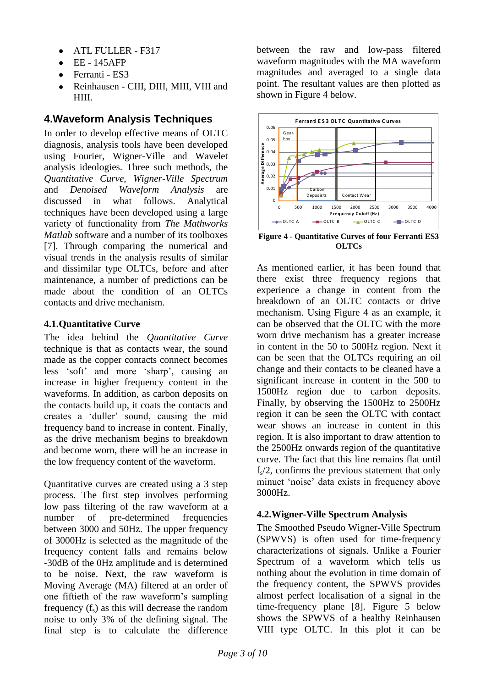- ATL FULLER F317
- EE 145AFP  $\bullet$
- Ferranti ES3
- Reinhausen CIII, DIII, MIII, VIII and HIII.

# **4.Waveform Analysis Techniques**

In order to develop effective means of OLTC diagnosis, analysis tools have been developed using Fourier, Wigner-Ville and Wavelet analysis ideologies. Three such methods, the *Quantitative Curve, Wigner-Ville Spectrum* and *Denoised Waveform Analysis* are discussed in what follows. Analytical techniques have been developed using a large variety of functionality from *The Mathworks Matlab* software and a number of its toolboxes [\[7\].](#page-9-5) Through comparing the numerical and visual trends in the analysis results of similar and dissimilar type OLTCs, before and after maintenance, a number of predictions can be made about the condition of an OLTCs contacts and drive mechanism.

### **4.1.Quantitative Curve**

The idea behind the *Quantitative Curve* technique is that as contacts wear, the sound made as the copper contacts connect becomes less "soft" and more "sharp", causing an increase in higher frequency content in the waveforms. In addition, as carbon deposits on the contacts build up, it coats the contacts and creates a "duller" sound, causing the mid frequency band to increase in content. Finally, as the drive mechanism begins to breakdown and become worn, there will be an increase in the low frequency content of the waveform.

Quantitative curves are created using a 3 step process. The first step involves performing low pass filtering of the raw waveform at a number of pre-determined frequencies between 3000 and 50Hz. The upper frequency of 3000Hz is selected as the magnitude of the frequency content falls and remains below -30dB of the 0Hz amplitude and is determined to be noise. Next, the raw waveform is Moving Average (MA) filtered at an order of one fiftieth of the raw waveform"s sampling frequency  $(f_s)$  as this will decrease the random noise to only 3% of the defining signal. The final step is to calculate the difference between the raw and low-pass filtered waveform magnitudes with the MA waveform magnitudes and averaged to a single data point. The resultant values are then plotted as shown in [Figure 4](#page-2-0) below.



<span id="page-2-0"></span>**Figure 4 - Quantitative Curves of four Ferranti ES3 OLTCs**

As mentioned earlier, it has been found that there exist three frequency regions that experience a change in content from the breakdown of an OLTC contacts or drive mechanism. Using [Figure 4](#page-2-0) as an example, it can be observed that the OLTC with the more worn drive mechanism has a greater increase in content in the 50 to 500Hz region. Next it can be seen that the OLTCs requiring an oil change and their contacts to be cleaned have a significant increase in content in the 500 to 1500Hz region due to carbon deposits. Finally, by observing the 1500Hz to 2500Hz region it can be seen the OLTC with contact wear shows an increase in content in this region. It is also important to draw attention to the 2500Hz onwards region of the quantitative curve. The fact that this line remains flat until  $f<sub>s</sub>/2$ , confirms the previous statement that only minuet "noise" data exists in frequency above 3000Hz.

### **4.2.Wigner-Ville Spectrum Analysis**

The Smoothed Pseudo Wigner-Ville Spectrum (SPWVS) is often used for time-frequency characterizations of signals. Unlike a Fourier Spectrum of a waveform which tells us nothing about the evolution in time domain of the frequency content, the SPWVS provides almost perfect localisation of a signal in the time-frequency plane [\[8\].](#page-9-6) [Figure 5](#page-3-0) below shows the SPWVS of a healthy Reinhausen VIII type OLTC. In this plot it can be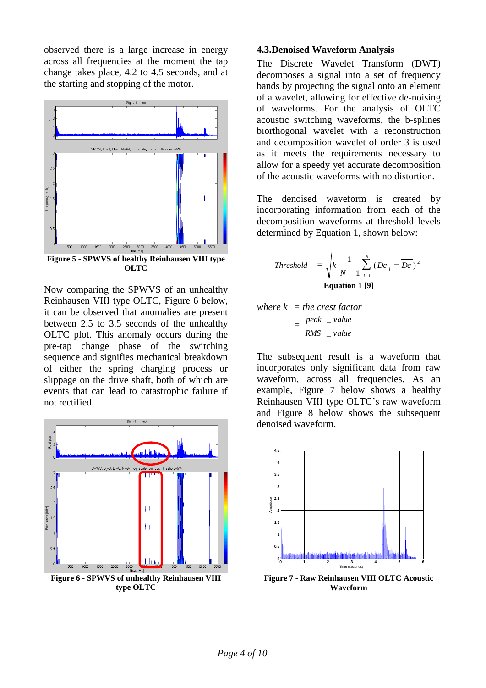observed there is a large increase in energy across all frequencies at the moment the tap change takes place, 4.2 to 4.5 seconds, and at the starting and stopping of the motor.



<span id="page-3-0"></span>**Figure 5 - SPWVS of healthy Reinhausen VIII type OLTC**

Now comparing the SPWVS of an unhealthy Reinhausen VIII type OLTC, [Figure 6](#page-3-1) below, it can be observed that anomalies are present between 2.5 to 3.5 seconds of the unhealthy OLTC plot. This anomaly occurs during the pre-tap change phase of the switching sequence and signifies mechanical breakdown of either the spring charging process or slippage on the drive shaft, both of which are events that can lead to catastrophic failure if not rectified.



<span id="page-3-1"></span>**type OLTC**

#### **4.3.Denoised Waveform Analysis**

The Discrete Wavelet Transform (DWT) decomposes a signal into a set of frequency bands by projecting the signal onto an element of a wavelet, allowing for effective de-noising of waveforms. For the analysis of OLTC acoustic switching waveforms, the b-splines biorthogonal wavelet with a reconstruction and decomposition wavelet of order 3 is used as it meets the requirements necessary to allow for a speedy yet accurate decomposition of the acoustic waveforms with no distortion.

The denoised waveform is created by incorporating information from each of the decomposition waveforms at threshold levels determined by [Equation 1,](#page-3-2) shown below:

*Threshold* = 
$$
\sqrt{k \frac{1}{N-1} \sum_{i=1}^{N} (Dc_i - \overline{Dc})^2}
$$
**Equation 1 [9]**

<span id="page-3-2"></span>where 
$$
k =
$$
 the *crest factor*  
=  $\frac{peak - value}{RMS - value}$ 

The subsequent result is a waveform that incorporates only significant data from raw waveform, across all frequencies. As an example, [Figure 7](#page-3-3) below shows a healthy Reinhausen VIII type OLTC"s raw waveform and [Figure 8](#page-4-0) below shows the subsequent denoised waveform.



<span id="page-3-3"></span>**Figure 7 - Raw Reinhausen VIII OLTC Acoustic Waveform**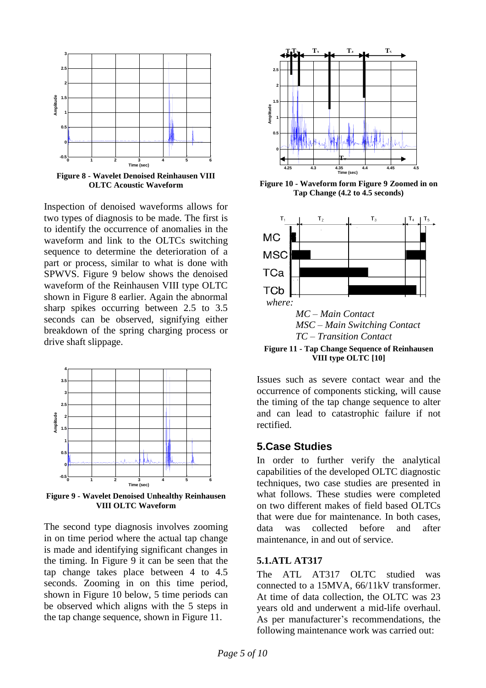

<span id="page-4-0"></span>**Figure 8 - Wavelet Denoised Reinhausen VIII OLTC Acoustic Waveform**

Inspection of denoised waveforms allows for two types of diagnosis to be made. The first is to identify the occurrence of anomalies in the waveform and link to the OLTCs switching sequence to determine the deterioration of a part or process, similar to what is done with SPWVS. [Figure 9](#page-4-1) below shows the denoised waveform of the Reinhausen VIII type OLTC shown in [Figure 8](#page-4-0) earlier. Again the abnormal sharp spikes occurring between 2.5 to 3.5 seconds can be observed, signifying either breakdown of the spring charging process or drive shaft slippage.



<span id="page-4-1"></span>**Figure 9 - Wavelet Denoised Unhealthy Reinhausen VIII OLTC Waveform**

The second type diagnosis involves zooming in on time period where the actual tap change is made and identifying significant changes in the timing. In [Figure 9](#page-4-1) it can be seen that the tap change takes place between 4 to 4.5 seconds. Zooming in on this time period, shown in [Figure 10](#page-4-2) below, 5 time periods can be observed which aligns with the 5 steps in the tap change sequence, shown in [Figure 11.](#page-4-3)



<span id="page-4-2"></span>**Figure 10 - Waveform form [Figure 9](#page-4-1) Zoomed in on Tap Change (4.2 to 4.5 seconds)**



<span id="page-4-3"></span>**Figure 11 - Tap Change Sequence of Reinhausen VIII type OLTC [\[10\]](#page-9-8)**

Issues such as severe contact wear and the occurrence of components sticking, will cause the timing of the tap change sequence to alter and can lead to catastrophic failure if not rectified.

### **5.Case Studies**

In order to further verify the analytical capabilities of the developed OLTC diagnostic techniques, two case studies are presented in what follows. These studies were completed on two different makes of field based OLTCs that were due for maintenance. In both cases, data was collected before and after maintenance, in and out of service.

#### **5.1.ATL AT317**

The ATL AT317 OLTC studied was connected to a 15MVA, 66/11kV transformer. At time of data collection, the OLTC was 23 years old and underwent a mid-life overhaul. As per manufacturer's recommendations, the following maintenance work was carried out: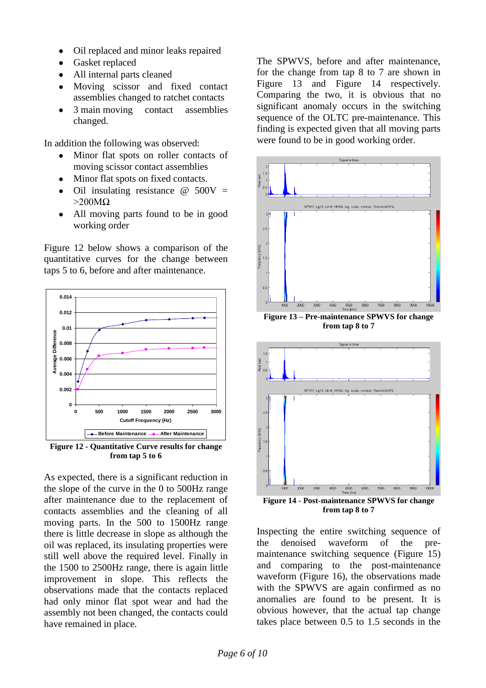- Oil replaced and minor leaks repaired  $\bullet$
- Gasket replaced
- All internal parts cleaned
- Moving scissor and fixed contact assemblies changed to ratchet contacts
- 3 main moving contact assemblies changed.

In addition the following was observed:

- Minor flat spots on roller contacts of moving scissor contact assemblies
- Minor flat spots on fixed contacts.
- Oil insulating resistance  $\omega$  500V =  $>200M\Omega$
- All moving parts found to be in good working order

[Figure 12](#page-5-0) below shows a comparison of the quantitative curves for the change between taps 5 to 6, before and after maintenance.



<span id="page-5-0"></span>**Figure 12 - Quantitative Curve results for change from tap 5 to 6**

As expected, there is a significant reduction in the slope of the curve in the 0 to 500Hz range after maintenance due to the replacement of contacts assemblies and the cleaning of all moving parts. In the 500 to 1500Hz range there is little decrease in slope as although the oil was replaced, its insulating properties were still well above the required level. Finally in the 1500 to 2500Hz range, there is again little improvement in slope. This reflects the observations made that the contacts replaced had only minor flat spot wear and had the assembly not been changed, the contacts could have remained in place.

The SPWVS, before and after maintenance, for the change from tap 8 to 7 are shown in [Figure 13](#page-5-1) and [Figure 14](#page-5-2) respectively. Comparing the two, it is obvious that no significant anomaly occurs in the switching sequence of the OLTC pre-maintenance. This finding is expected given that all moving parts were found to be in good working order.



<span id="page-5-1"></span>**Figure 13 – Pre-maintenance SPWVS for change from tap 8 to 7**



<span id="page-5-2"></span>**from tap 8 to 7**

Inspecting the entire switching sequence of the denoised waveform of the premaintenance switching sequence [\(Figure 15\)](#page-6-0) and comparing to the post-maintenance waveform [\(Figure 16\)](#page-6-1), the observations made with the SPWVS are again confirmed as no anomalies are found to be present. It is obvious however, that the actual tap change takes place between 0.5 to 1.5 seconds in the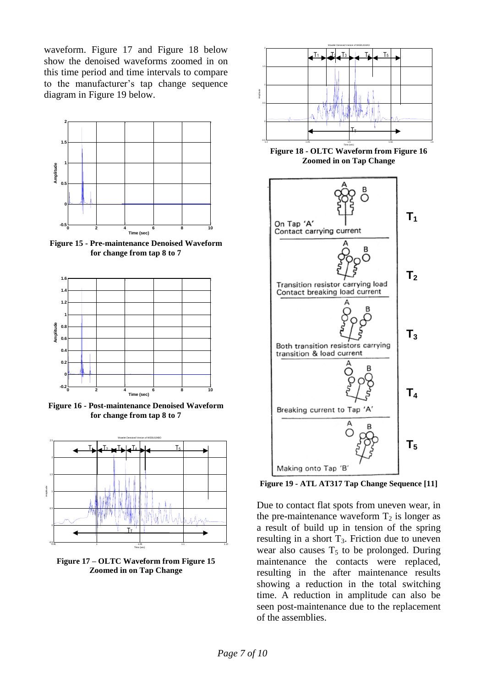waveform. [Figure 17](#page-6-2) and [Figure](#page-6-3) 18 below show the denoised waveforms zoomed in on this time period and time intervals to compare to the manufacturer"s tap change sequence diagram in [Figure 19](#page-6-4) below.



<span id="page-6-0"></span>**Figure 15 - Pre-maintenance Denoised Waveform for change from tap 8 to 7**



<span id="page-6-1"></span>**Figure 16 - Post-maintenance Denoised Waveform for change from tap 8 to 7**



<span id="page-6-2"></span>**Figure 17 – OLTC Waveform from [Figure 15](#page-6-0) Zoomed in on Tap Change**



<span id="page-6-3"></span>**Figure 18 - OLTC Waveform fro[m Figure 16](#page-6-1) Zoomed in on Tap Change**



<span id="page-6-4"></span>**Figure 19 - ATL AT317 Tap Change Sequence [\[11\]](#page-9-9)**

Due to contact flat spots from uneven wear, in the pre-maintenance waveform  $T_2$  is longer as a result of build up in tension of the spring resulting in a short  $T_3$ . Friction due to uneven wear also causes  $T_5$  to be prolonged. During maintenance the contacts were replaced, resulting in the after maintenance results showing a reduction in the total switching time. A reduction in amplitude can also be seen post-maintenance due to the replacement of the assemblies.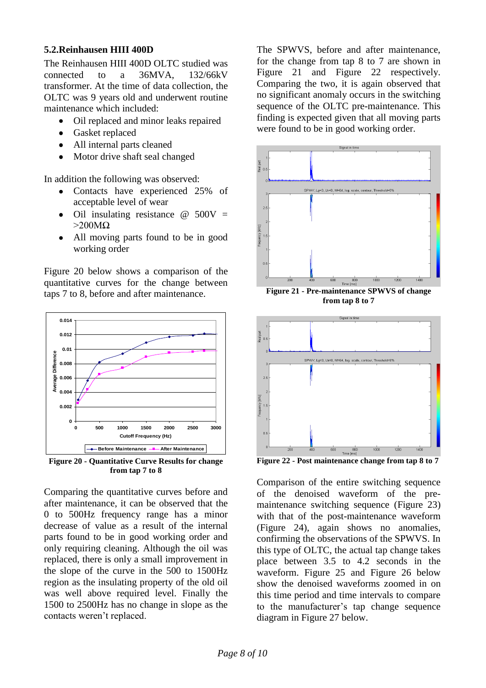#### **5.2.Reinhausen HIII 400D**

The Reinhausen HIII 400D OLTC studied was connected to a 36MVA, 132/66kV transformer. At the time of data collection, the OLTC was 9 years old and underwent routine maintenance which included:

- Oil replaced and minor leaks repaired
- Gasket replaced
- All internal parts cleaned
- Motor drive shaft seal changed

In addition the following was observed:

- Contacts have experienced 25% of acceptable level of wear
- Oil insulating resistance  $\omega$  500V =  $>200M\Omega$
- All moving parts found to be in good working order

[Figure 20](#page-7-0) below shows a comparison of the quantitative curves for the change between taps 7 to 8, before and after maintenance.



<span id="page-7-0"></span>**Figure 20 - Quantitative Curve Results for change from tap 7 to 8**

Comparing the quantitative curves before and after maintenance, it can be observed that the 0 to 500Hz frequency range has a minor decrease of value as a result of the internal parts found to be in good working order and only requiring cleaning. Although the oil was replaced, there is only a small improvement in the slope of the curve in the 500 to 1500Hz region as the insulating property of the old oil was well above required level. Finally the 1500 to 2500Hz has no change in slope as the contacts weren"t replaced.

The SPWVS, before and after maintenance, for the change from tap 8 to 7 are shown in [Figure 21](#page-7-1) and [Figure 22](#page-7-2) respectively. Comparing the two, it is again observed that no significant anomaly occurs in the switching sequence of the OLTC pre-maintenance. This finding is expected given that all moving parts were found to be in good working order.



<span id="page-7-1"></span>**Figure 21 - Pre-maintenance SPWVS of change from tap 8 to 7**



<span id="page-7-2"></span>**Figure 22 - Post maintenance change from tap 8 to 7**

Comparison of the entire switching sequence of the denoised waveform of the premaintenance switching sequence [\(Figure 23\)](#page-8-0) with that of the post-maintenance waveform [\(Figure 24\)](#page-8-1), again shows no anomalies, confirming the observations of the SPWVS. In this type of OLTC, the actual tap change takes place between 3.5 to 4.2 seconds in the waveform. [Figure 25](#page-8-2) and [Figure 26](#page-8-3) below show the denoised waveforms zoomed in on this time period and time intervals to compare to the manufacturer"s tap change sequence diagram in [Figure 27](#page-8-4) below.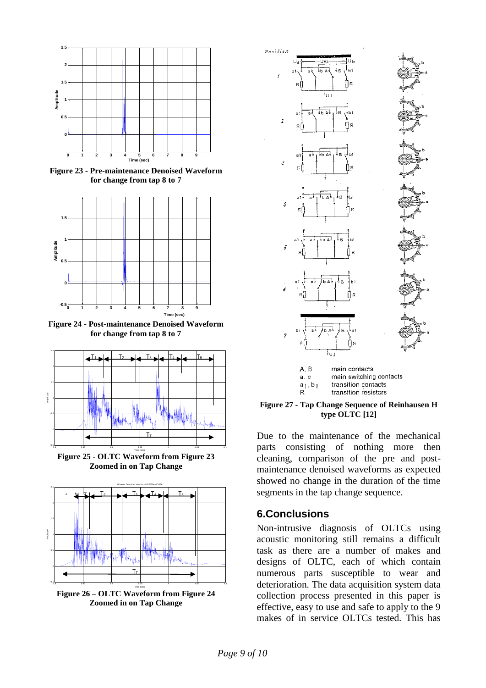

<span id="page-8-0"></span>**Figure 23 - Pre-maintenance Denoised Waveform for change from tap 8 to 7**



<span id="page-8-1"></span>**Figure 24 - Post-maintenance Denoised Waveform for change from tap 8 to 7**



<span id="page-8-2"></span>**Figure 25 - OLTC Waveform from [Figure 23](#page-8-0) Zoomed in on Tap Change**



<span id="page-8-3"></span>**Figure 26 – OLTC Waveform from [Figure 24](#page-8-1) Zoomed in on Tap Change**



main switching contacts  $a_1, b_1$ transition contacts transition resistors  $\mathsf{R}$ 

#### <span id="page-8-4"></span>**Figure 27 - Tap Change Sequence of Reinhausen H type OLTC [\[12\]](#page-9-10)**

Due to the maintenance of the mechanical parts consisting of nothing more then cleaning, comparison of the pre and postmaintenance denoised waveforms as expected showed no change in the duration of the time segments in the tap change sequence.

### **6.Conclusions**

Non-intrusive diagnosis of OLTCs using acoustic monitoring still remains a difficult task as there are a number of makes and designs of OLTC, each of which contain numerous parts susceptible to wear and deterioration. The data acquisition system data collection process presented in this paper is effective, easy to use and safe to apply to the 9 makes of in service OLTCs tested. This has